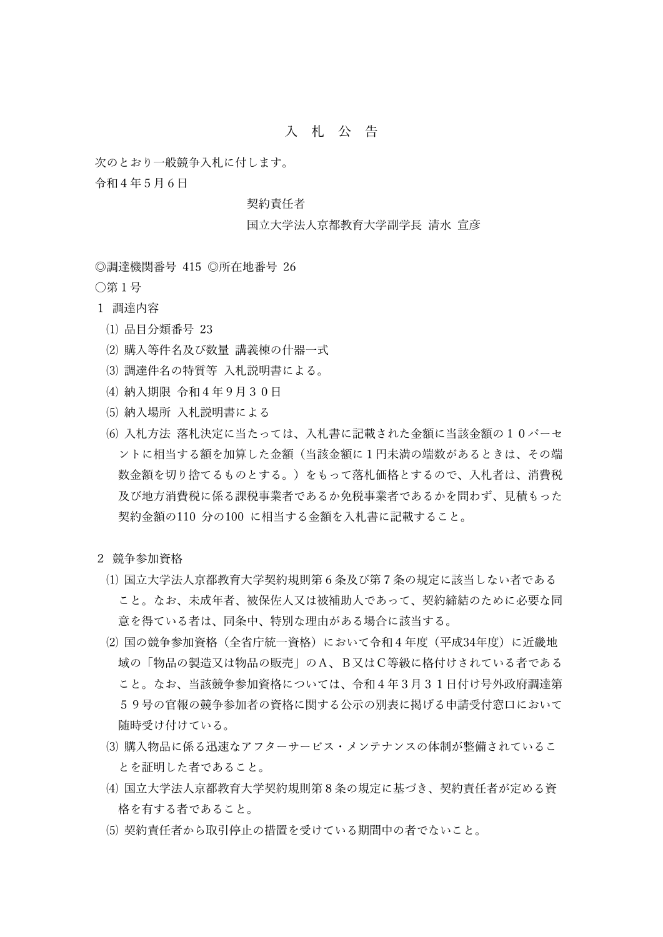## 入 札 公 告

次のとおり一般競争入札に付します。

令和4年5月6日

## 契約責任者

## 国立大学法人京都教育大学副学長 清水 宣彦

◎調達機関番号 415 ◎所在地番号 26

〇第1号

- 1 調達内容
	- ⑴ 品目分類番号 23
	- ⑵ 購入等件名及び数量 講義棟の什器一式
	- ⑶ 調達件名の特質等 入札説明書による。
	- ⑷ 納入期限 令和4年9月30日
	- ⑸ 納入場所 入札説明書による
	- (6) 入札方法 落札決定に当たっては、入札書に記載された金額に当該金額の10パーセ ントに相当する額を加算した金額(当該金額に1円未満の端数があるときは、その端 数金額を切り捨てるものとする。)をもって落札価格とするので、入札者は、消費税 及び地方消費税に係る課税事業者であるか免税事業者であるかを問わず、見積もった 契約金額の110 分の100 に相当する金額を入札書に記載すること。
- 2 競争参加資格
	- ⑴ 国立大学法人京都教育大学契約規則第6条及び第7条の規定に該当しない者である こと。なお、未成年者、被保佐人又は被補助人であって、契約締結のために必要な同 意を得ている者は、同条中、特別な理由がある場合に該当する。
	- ⑵ 国の競争参加資格(全省庁統一資格)において令和4年度(平成34年度)に近畿地 域の「物品の製造又は物品の販売」のA、B又はC等級に格付けされている者である こと。なお、当該競争参加資格については、令和4年3月31日付け号外政府調達第 59号の官報の競争参加者の資格に関する公示の別表に掲げる申請受付窓口において 随時受け付けている。
	- ⑶ 購入物品に係る迅速なアフターサービス・メンテナンスの体制が整備されているこ とを証明した者であること。
	- ⑷ 国立大学法人京都教育大学契約規則第8条の規定に基づき、契約責任者が定める資 格を有する者であること。
	- ⑸ 契約責任者から取引停止の措置を受けている期間中の者でないこと。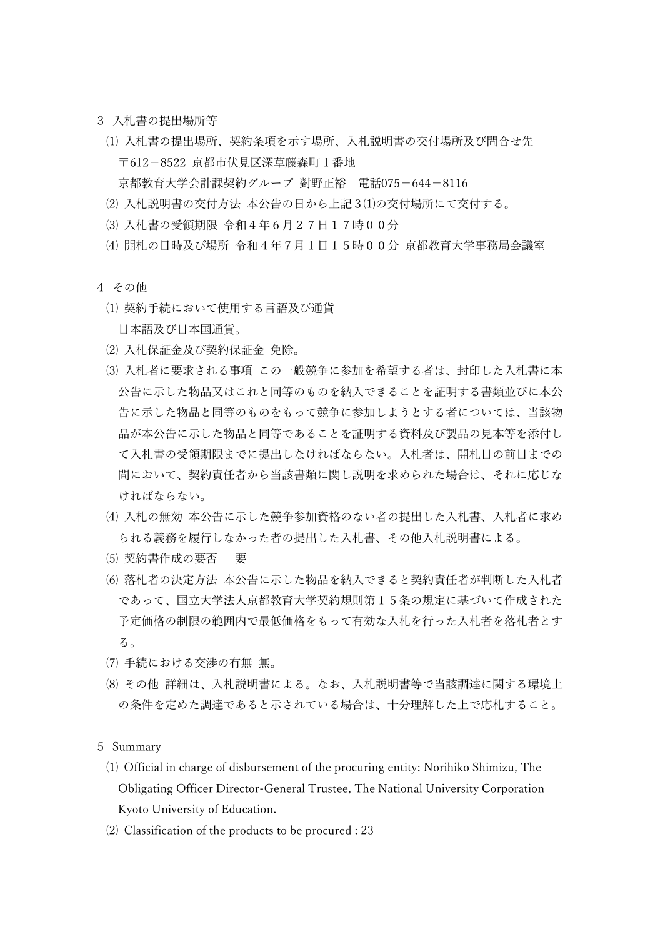- 3 入札書の提出場所等
	- ⑴ 入札書の提出場所、契約条項を示す場所、入札説明書の交付場所及び問合せ先 〒612-8522 京都市伏見区深草藤森町1番地 京都教育大学会計課契約グループ 對野正裕 電話075-644-8116
	- ⑵ 入札説明書の交付方法 本公告の日から上記3⑴の交付場所にて交付する。
	- ⑶ 入札書の受領期限 令和4年6月27日17時00分
	- ⑷ 開札の日時及び場所 令和4年7月1日15時00分 京都教育大学事務局会議室
- 4 その他
	- ⑴ 契約手続において使用する言語及び通貨 日本語及び日本国通貨。
	- ⑵ 入札保証金及び契約保証金 免除。
	- ⑶ 入札者に要求される事項 この一般競争に参加を希望する者は、封印した入札書に本 公告に示した物品又はこれと同等のものを納入できることを証明する書類並びに本公 告に示した物品と同等のものをもって競争に参加しようとする者については、当該物 品が本公告に示した物品と同等であることを証明する資料及び製品の見本等を添付し て入札書の受領期限までに提出しなければならない。入札者は、開札日の前日までの 間において、契約責任者から当該書類に関し説明を求められた場合は、それに応じな ければならない。
	- ⑷ 入札の無効 本公告に示した競争参加資格のない者の提出した入札書、入札者に求め られる義務を履行しなかった者の提出した入札書、その他入札説明書による。
	- ⑸ 契約書作成の要否 要
	- ⑹ 落札者の決定方法 本公告に示した物品を納入できると契約責任者が判断した入札者 であって、国立大学法人京都教育大学契約規則第15条の規定に基づいて作成された 予定価格の制限の範囲内で最低価格をもって有効な入札を行った入札者を落札者とす る。
	- ⑺ 手続における交渉の有無 無。
	- ⑻ その他 詳細は、入札説明書による。なお、入札説明書等で当該調達に関する環境上 の条件を定めた調達であると示されている場合は、十分理解した上で応札すること。

5 Summary

- ⑴ Official in charge of disbursement of the procuring entity: Norihiko Shimizu, The Obligating Officer Director-General Trustee, The National University Corporation Kyoto University of Education.
- ⑵ Classification of the products to be procured : 23